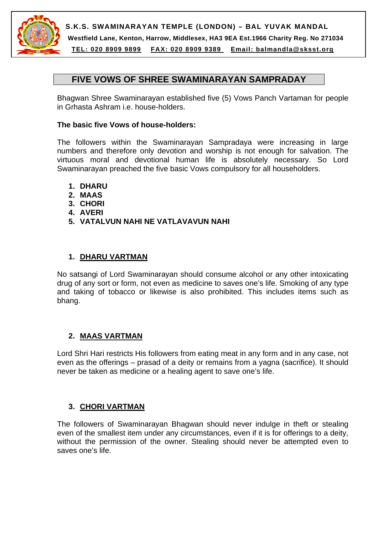

**S.K.S. SWAMINARAYAN TEMPLE (LONDON) – BAL YUVAK MANDAL Westfield Lane, Kenton, Harrow, Middlesex, HA3 9EA Est.1966 Charity Reg. No 271034** 

**TEL: 020 8909 9899 FAX: 020 8909 9389 Email: balmandla@sksst.org**

# **FIVE VOWS OF SHREE SWAMINARAYAN SAMPRADAY**

Bhagwan Shree Swaminarayan established five (5) Vows Panch Vartaman for people in Grhasta Ashram i.e. house-holders.

#### **The basic five Vows of house-holders:**

The followers within the Swaminarayan Sampradaya were increasing in large numbers and therefore only devotion and worship is not enough for salvation. The virtuous moral and devotional human life is absolutely necessary. So Lord Swaminarayan preached the five basic Vows compulsory for all householders.

- **1. DHARU**
- **2. MAAS**
- **3. CHORI**
- **4. AVERI**
- **5. VATALVUN NAHI NE VATLAVAVUN NAHI**

### **1. DHARU VARTMAN**

No satsangi of Lord Swaminarayan should consume alcohol or any other intoxicating drug of any sort or form, not even as medicine to saves one's life. Smoking of any type and taking of tobacco or likewise is also prohibited. This includes items such as bhang.

#### **2. MAAS VARTMAN**

Lord Shri Hari restricts His followers from eating meat in any form and in any case, not even as the offerings – prasad of a deity or remains from a yagna (sacrifice). It should never be taken as medicine or a healing agent to save one's life.

#### **3. CHORI VARTMAN**

The followers of Swaminarayan Bhagwan should never indulge in theft or stealing even of the smallest item under any circumstances, even if it is for offerings to a deity, without the permission of the owner. Stealing should never be attempted even to saves one's life.